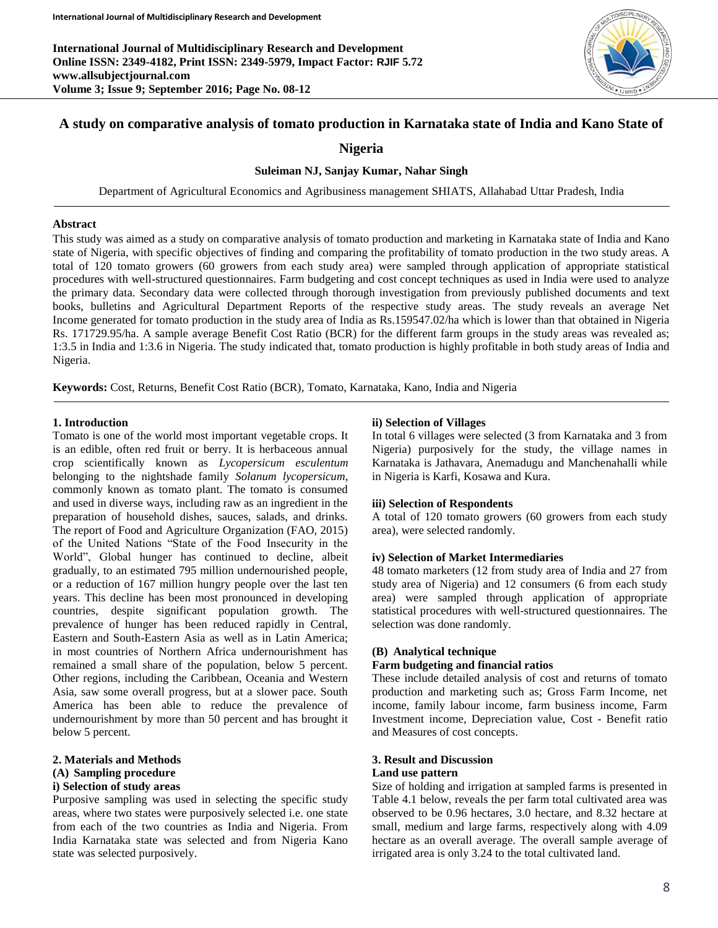**International Journal of Multidisciplinary Research and Development Online ISSN: 2349-4182, Print ISSN: 2349-5979, Impact Factor: RJIF 5.72 www.allsubjectjournal.com Volume 3; Issue 9; September 2016; Page No. 08-12**



# **A study on comparative analysis of tomato production in Karnataka state of India and Kano State of**

**Nigeria**

## **Suleiman NJ, Sanjay Kumar, Nahar Singh**

Department of Agricultural Economics and Agribusiness management SHIATS, Allahabad Uttar Pradesh, India

#### **Abstract**

This study was aimed as a study on comparative analysis of tomato production and marketing in Karnataka state of India and Kano state of Nigeria, with specific objectives of finding and comparing the profitability of tomato production in the two study areas. A total of 120 tomato growers (60 growers from each study area) were sampled through application of appropriate statistical procedures with well-structured questionnaires. Farm budgeting and cost concept techniques as used in India were used to analyze the primary data. Secondary data were collected through thorough investigation from previously published documents and text books, bulletins and Agricultural Department Reports of the respective study areas. The study reveals an average Net Income generated for tomato production in the study area of India as Rs.159547.02/ha which is lower than that obtained in Nigeria Rs. 171729.95/ha. A sample average Benefit Cost Ratio (BCR) for the different farm groups in the study areas was revealed as; 1:3.5 in India and 1:3.6 in Nigeria. The study indicated that, tomato production is highly profitable in both study areas of India and Nigeria.

**Keywords:** Cost, Returns, Benefit Cost Ratio (BCR), Tomato, Karnataka, Kano, India and Nigeria

## **1. Introduction**

Tomato is one of the world most important vegetable crops. It is an edible, often red fruit or berry. It is herbaceous annual crop scientifically known as *Lycopersicum esculentum* belonging to the nightshade family *Solanum lycopersicum*, commonly known as tomato plant. The tomato is consumed and used in diverse ways, including raw as an ingredient in the preparation of household dishes, sauces, salads, and drinks. The report of Food and Agriculture Organization (FAO, 2015) of the United Nations "State of the Food Insecurity in the World", Global hunger has continued to decline, albeit gradually, to an estimated 795 million undernourished people, or a reduction of 167 million hungry people over the last ten years. This decline has been most pronounced in developing countries, despite significant population growth. The prevalence of hunger has been reduced rapidly in Central, Eastern and South-Eastern Asia as well as in Latin America; in most countries of Northern Africa undernourishment has remained a small share of the population, below 5 percent. Other regions, including the Caribbean, Oceania and Western Asia, saw some overall progress, but at a slower pace. South America has been able to reduce the prevalence of undernourishment by more than 50 percent and has brought it below 5 percent.

### **2. Materials and Methods (A) Sampling procedure i) Selection of study areas**

Purposive sampling was used in selecting the specific study areas, where two states were purposively selected i.e. one state from each of the two countries as India and Nigeria. From India Karnataka state was selected and from Nigeria Kano state was selected purposively.

## **ii) Selection of Villages**

In total 6 villages were selected (3 from Karnataka and 3 from Nigeria) purposively for the study, the village names in Karnataka is Jathavara, Anemadugu and Manchenahalli while in Nigeria is Karfi, Kosawa and Kura.

## **iii) Selection of Respondents**

A total of 120 tomato growers (60 growers from each study area), were selected randomly.

#### **iv) Selection of Market Intermediaries**

48 tomato marketers (12 from study area of India and 27 from study area of Nigeria) and 12 consumers (6 from each study area) were sampled through application of appropriate statistical procedures with well-structured questionnaires. The selection was done randomly.

## **(B) Analytical technique**

## **Farm budgeting and financial ratios**

These include detailed analysis of cost and returns of tomato production and marketing such as; Gross Farm Income, net income, family labour income, farm business income, Farm Investment income, Depreciation value, Cost - Benefit ratio and Measures of cost concepts.

## **3. Result and Discussion**

## **Land use pattern**

Size of holding and irrigation at sampled farms is presented in Table 4.1 below, reveals the per farm total cultivated area was observed to be 0.96 hectares, 3.0 hectare, and 8.32 hectare at small, medium and large farms, respectively along with 4.09 hectare as an overall average. The overall sample average of irrigated area is only 3.24 to the total cultivated land.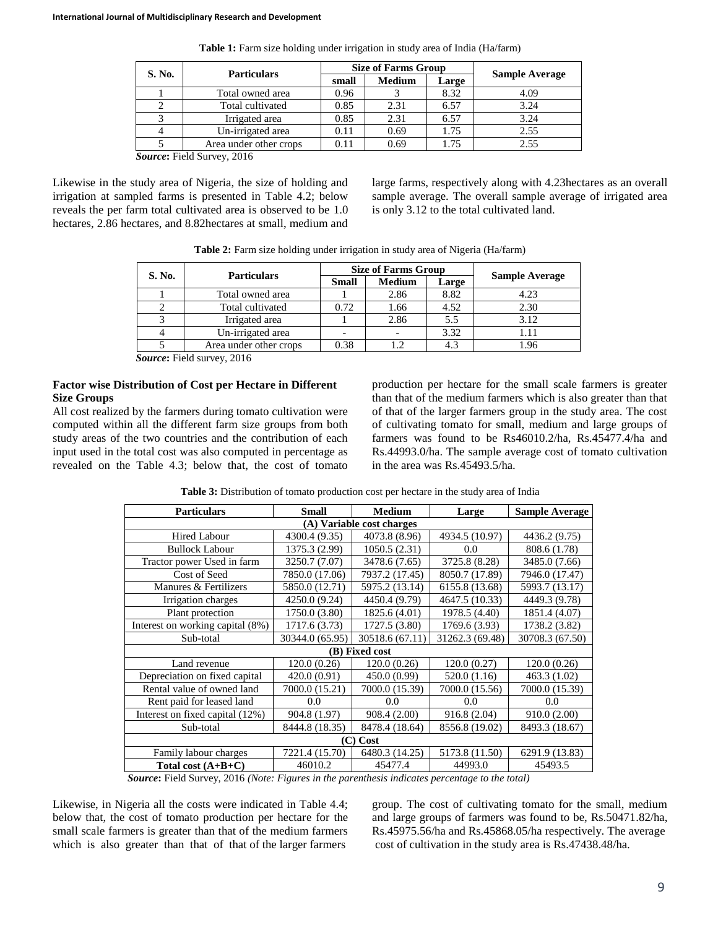| S. No. | <b>Particulars</b>                  |       | <b>Size of Farms Group</b> | <b>Sample Average</b> |      |
|--------|-------------------------------------|-------|----------------------------|-----------------------|------|
|        |                                     | small | <b>Medium</b>              | Large                 |      |
|        | Total owned area                    | 0.96  |                            | 8.32                  | 4.09 |
|        | Total cultivated                    | 0.85  | 2.31                       | 6.57                  | 3.24 |
|        | Irrigated area                      | 0.85  | 2.31                       | 6.57                  | 3.24 |
|        | Un-irrigated area                   | 0.11  | 0.69                       | 1.75                  | 2.55 |
|        | Area under other crops              | 0.11  | 0.69                       | 1.75                  | 2.55 |
|        | $T^*$ 1 1 $\alpha$<br>$\sim$ $\sim$ |       |                            |                       |      |

**Table 1:** Farm size holding under irrigation in study area of India (Ha/farm)

*Source***:** Field Survey, 2016

Likewise in the study area of Nigeria, the size of holding and irrigation at sampled farms is presented in Table 4.2; below reveals the per farm total cultivated area is observed to be 1.0 hectares, 2.86 hectares, and 8.82hectares at small, medium and

large farms, respectively along with 4.23hectares as an overall sample average. The overall sample average of irrigated area is only 3.12 to the total cultivated land.

|  | Table 2: Farm size holding under irrigation in study area of Nigeria (Ha/farm) |  |  |
|--|--------------------------------------------------------------------------------|--|--|
|  |                                                                                |  |  |

| S. No. | <b>Particulars</b>     |              | <b>Size of Farms Group</b> |       |                       |
|--------|------------------------|--------------|----------------------------|-------|-----------------------|
|        |                        | <b>Small</b> | <b>Medium</b>              | Large | <b>Sample Average</b> |
|        | Total owned area       |              | 2.86                       | 8.82  | 4.23                  |
|        | Total cultivated       | 0.72         | 1.66                       | 4.52  | 2.30                  |
|        | Irrigated area         |              | 2.86                       | 5.5   | 3.12                  |
|        | Un-irrigated area      |              |                            | 3.32  |                       |
|        | Area under other crops | 0.38         | 1.2                        |       | .96                   |

*Source***:** Field survey, 2016

## **Factor wise Distribution of Cost per Hectare in Different Size Groups**

All cost realized by the farmers during tomato cultivation were computed within all the different farm size groups from both study areas of the two countries and the contribution of each input used in the total cost was also computed in percentage as revealed on the Table 4.3; below that, the cost of tomato production per hectare for the small scale farmers is greater than that of the medium farmers which is also greater than that of that of the larger farmers group in the study area. The cost of cultivating tomato for small, medium and large groups of farmers was found to be Rs46010.2/ha, Rs.45477.4/ha and Rs.44993.0/ha. The sample average cost of tomato cultivation in the area was Rs.45493.5/ha.

**Table 3:** Distribution of tomato production cost per hectare in the study area of India

| <b>Particulars</b>                                                | <b>Small</b>    | Medium                    | Large           | <b>Sample Average</b> |  |  |  |
|-------------------------------------------------------------------|-----------------|---------------------------|-----------------|-----------------------|--|--|--|
|                                                                   |                 | (A) Variable cost charges |                 |                       |  |  |  |
| <b>Hired Labour</b>                                               | 4300.4 (9.35)   | 4073.8 (8.96)             | 4934.5 (10.97)  | 4436.2 (9.75)         |  |  |  |
| <b>Bullock Labour</b>                                             | 1375.3 (2.99)   | 1050.5(2.31)              | 0.0             | 808.6 (1.78)          |  |  |  |
| Tractor power Used in farm                                        | 3250.7 (7.07)   | 3478.6 (7.65)             | 3725.8 (8.28)   | 3485.0 (7.66)         |  |  |  |
| Cost of Seed                                                      | 7850.0 (17.06)  | 7937.2 (17.45)            | 8050.7 (17.89)  | 7946.0 (17.47)        |  |  |  |
| Manures & Fertilizers                                             | 5850.0 (12.71)  | 5975.2 (13.14)            | 6155.8 (13.68)  | 5993.7 (13.17)        |  |  |  |
| Irrigation charges                                                | 4250.0 (9.24)   | 4450.4 (9.79)             | 4647.5 (10.33)  | 4449.3 (9.78)         |  |  |  |
| Plant protection                                                  | 1750.0 (3.80)   | 1825.6 (4.01)             | 1978.5 (4.40)   | 1851.4 (4.07)         |  |  |  |
| Interest on working capital (8%)                                  | 1717.6 (3.73)   | 1727.5 (3.80)             | 1769.6 (3.93)   | 1738.2 (3.82)         |  |  |  |
| Sub-total                                                         | 30344.0 (65.95) | 30518.6 (67.11)           | 31262.3 (69.48) | 30708.3 (67.50)       |  |  |  |
|                                                                   |                 | (B) Fixed cost            |                 |                       |  |  |  |
| Land revenue                                                      | 120.0(0.26)     | 120.0(0.26)               | 120.0(0.27)     | 120.0(0.26)           |  |  |  |
| Depreciation on fixed capital                                     | 420.0(0.91)     | 450.0 (0.99)              | 520.0(1.16)     | 463.3 (1.02)          |  |  |  |
| Rental value of owned land                                        | 7000.0 (15.21)  | 7000.0 (15.39)            | 7000.0 (15.56)  | 7000.0 (15.39)        |  |  |  |
| Rent paid for leased land                                         | 0.0             | 0.0                       | 0.0             | 0.0                   |  |  |  |
| Interest on fixed capital (12%)                                   | 904.8 (1.97)    | 908.4 (2.00)              | 916.8 (2.04)    | 910.0(2.00)           |  |  |  |
| Sub-total                                                         | 8444.8 (18.35)  | 8478.4 (18.64)            | 8556.8 (19.02)  | 8493.3 (18.67)        |  |  |  |
| $(C)$ Cost                                                        |                 |                           |                 |                       |  |  |  |
| Family labour charges                                             | 7221.4 (15.70)  | 6480.3 (14.25)            | 5173.8 (11.50)  | 6291.9 (13.83)        |  |  |  |
| Total cost $(A+B+C)$<br>$\sim$ $\sim$ $\sim$ $\sim$ $\sim$ $\sim$ | 46010.2         | 45477.4                   | 44993.0         | 45493.5               |  |  |  |

*Source***:** Field Survey, 2016 *(Note: Figures in the parenthesis indicates percentage to the total)*

Likewise, in Nigeria all the costs were indicated in Table 4.4; below that, the cost of tomato production per hectare for the small scale farmers is greater than that of the medium farmers which is also greater than that of that of the larger farmers

group. The cost of cultivating tomato for the small, medium and large groups of farmers was found to be, Rs.50471.82/ha, Rs.45975.56/ha and Rs.45868.05/ha respectively. The average cost of cultivation in the study area is Rs.47438.48/ha.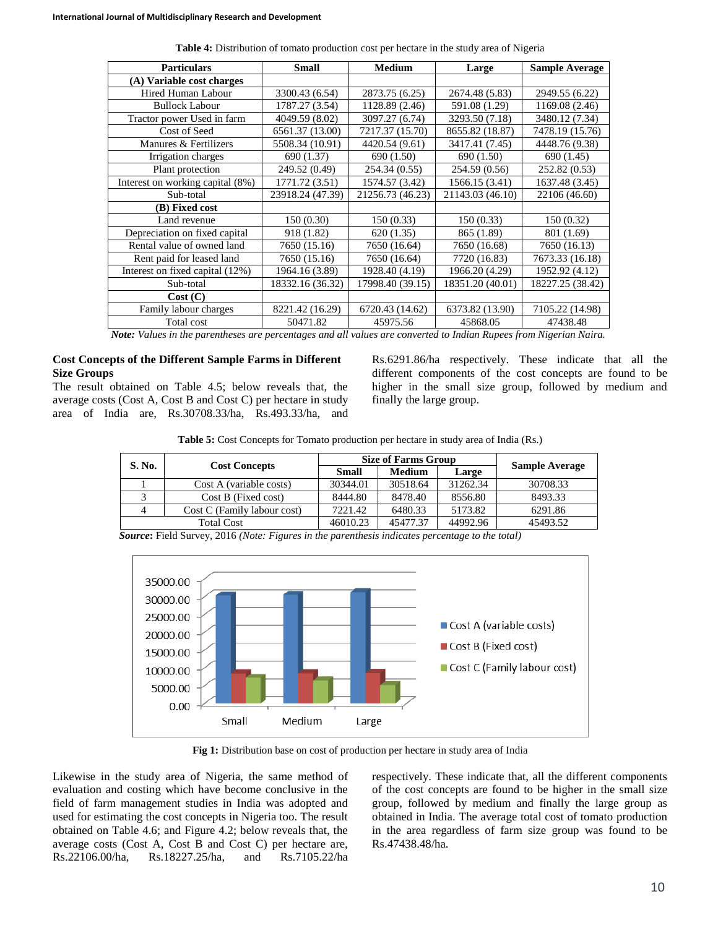| <b>Particulars</b>               | <b>Small</b>     | <b>Medium</b>                          | Large            | <b>Sample Average</b> |
|----------------------------------|------------------|----------------------------------------|------------------|-----------------------|
| (A) Variable cost charges        |                  |                                        |                  |                       |
| Hired Human Labour               | 3300.43 (6.54)   | 2873.75 (6.25)                         | 2674.48 (5.83)   | 2949.55 (6.22)        |
| <b>Bullock Labour</b>            | 1787.27 (3.54)   | 1128.89 (2.46)                         | 591.08 (1.29)    | 1169.08 (2.46)        |
| Tractor power Used in farm       | 4049.59 (8.02)   | 3097.27 (6.74)                         | 3293.50 (7.18)   | 3480.12 (7.34)        |
| Cost of Seed                     | 6561.37 (13.00)  | 7217.37 (15.70)                        | 8655.82 (18.87)  | 7478.19 (15.76)       |
| Manures & Fertilizers            | 5508.34 (10.91)  | 4420.54 (9.61)                         | 3417.41 (7.45)   | 4448.76 (9.38)        |
| Irrigation charges               | 690 (1.37)       | 690 (1.50)                             | 690 (1.50)       | 690 (1.45)            |
| Plant protection                 | 249.52 (0.49)    | 254.34 (0.55)                          | 254.59 (0.56)    | 252.82 (0.53)         |
| Interest on working capital (8%) | 1771.72 (3.51)   | 1574.57 (3.42)                         | 1566.15 (3.41)   | 1637.48 (3.45)        |
| Sub-total                        | 23918.24 (47.39) | 21256.73 (46.23)                       | 21143.03 (46.10) | 22106 (46.60)         |
| (B) Fixed cost                   |                  |                                        |                  |                       |
| Land revenue                     | 150(0.30)        | 150 (0.33)                             | 150(0.33)        | 150(0.32)             |
| Depreciation on fixed capital    | 918 (1.82)       | 620(1.35)                              | 865 (1.89)       | 801 (1.69)            |
| Rental value of owned land       | 7650 (15.16)     | 7650 (16.64)                           | 7650 (16.68)     | 7650 (16.13)          |
| Rent paid for leased land        | 7650 (15.16)     | 7650 (16.64)                           | 7720 (16.83)     | 7673.33 (16.18)       |
| Interest on fixed capital (12%)  | 1964.16 (3.89)   | 1928.40 (4.19)                         | 1966.20 (4.29)   | 1952.92 (4.12)        |
| Sub-total                        | 18332.16 (36.32) | 17998.40 (39.15)                       | 18351.20 (40.01) | 18227.25 (38.42)      |
| Cost(C)                          |                  |                                        |                  |                       |
| Family labour charges            | 8221.42 (16.29)  | 6720.43 (14.62)                        | 6373.82 (13.90)  | 7105.22 (14.98)       |
| Total cost                       | 50471.82         | 45975.56                               | 45868.05         | 47438.48              |
| $\cdots$                         |                  | $\mathbf{r}$ $\mathbf{r}$ $\mathbf{r}$ |                  | $\mathbf{v}$          |

**Table 4:** Distribution of tomato production cost per hectare in the study area of Nigeria

*Note: Values in the parentheses are percentages and all values are converted to Indian Rupees from Nigerian Naira.*

## **Cost Concepts of the Different Sample Farms in Different Size Groups**

The result obtained on Table 4.5; below reveals that, the average costs (Cost A, Cost B and Cost C) per hectare in study area of India are, Rs.30708.33/ha, Rs.493.33/ha, and

Rs.6291.86/ha respectively. These indicate that all the different components of the cost concepts are found to be higher in the small size group, followed by medium and finally the large group.

**Table 5:** Cost Concepts for Tomato production per hectare in study area of India (Rs.)

| S. No. | <b>Cost Concepts</b>        |          | <b>Size of Farms Group</b> | <b>Sample Average</b> |          |
|--------|-----------------------------|----------|----------------------------|-----------------------|----------|
|        |                             |          | Medium                     | Large                 |          |
|        | Cost A (variable costs)     | 30344.01 | 30518.64                   | 31262.34              | 30708.33 |
|        | Cost B (Fixed cost)         | 8444.80  | 8478.40                    | 8556.80               | 8493.33  |
|        | Cost C (Family labour cost) | 7221.42  | 6480.33                    | 5173.82               | 6291.86  |
|        | <b>Total Cost</b>           | 46010.23 | 45477.37                   | 44992.96              | 45493.52 |

*Source***:** Field Survey, 2016 *(Note: Figures in the parenthesis indicates percentage to the total)*



**Fig 1:** Distribution base on cost of production per hectare in study area of India

Likewise in the study area of Nigeria, the same method of evaluation and costing which have become conclusive in the field of farm management studies in India was adopted and used for estimating the cost concepts in Nigeria too. The result obtained on Table 4.6; and Figure 4.2; below reveals that, the average costs (Cost A, Cost B and Cost C) per hectare are, Rs.22106.00/ha, Rs.18227.25/ha, and Rs.7105.22/ha

respectively. These indicate that, all the different components of the cost concepts are found to be higher in the small size group, followed by medium and finally the large group as obtained in India. The average total cost of tomato production in the area regardless of farm size group was found to be Rs.47438.48/ha.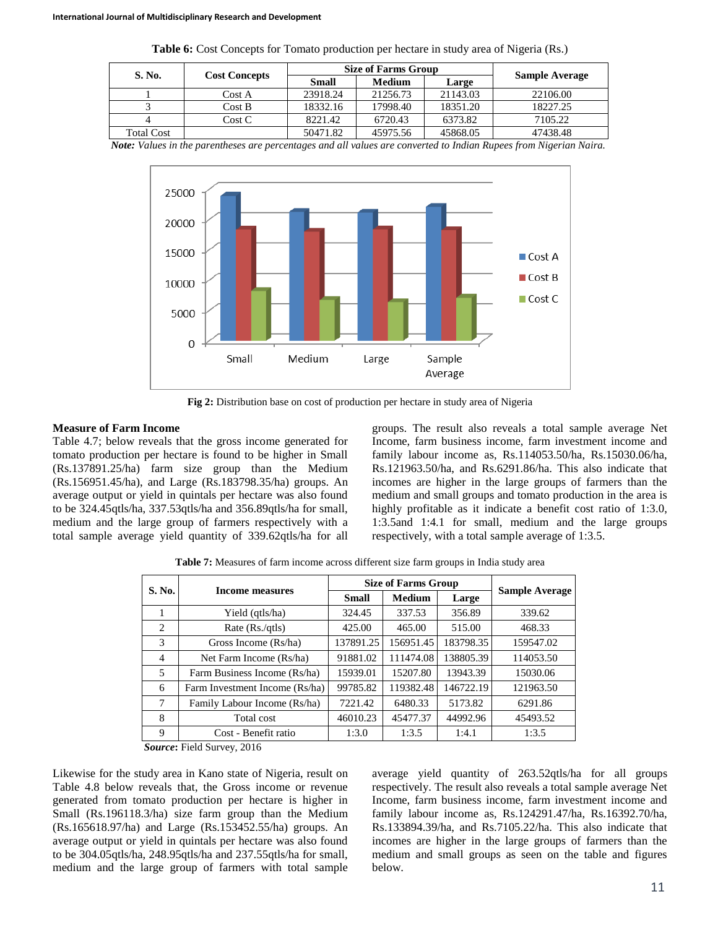| S. No.            |                      |          | <b>Size of Farms Group</b> |          |                       |
|-------------------|----------------------|----------|----------------------------|----------|-----------------------|
|                   | <b>Cost Concepts</b> | Small    | <b>Medium</b>              | Large    | <b>Sample Average</b> |
|                   | Cost A               | 23918.24 | 21256.73                   | 21143.03 | 22106.00              |
|                   | Cost B               | 18332.16 | 17998.40                   | 18351.20 | 18227.25              |
|                   | Cost C               | 8221.42  | 6720.43                    | 6373.82  | 7105.22               |
| <b>Total Cost</b> |                      | 50471.82 | 45975.56                   | 45868.05 | 47438.48              |

**Table 6:** Cost Concepts for Tomato production per hectare in study area of Nigeria (Rs.)

*Note: Values in the parentheses are percentages and all values are converted to Indian Rupees from Nigerian Naira.*



**Fig 2:** Distribution base on cost of production per hectare in study area of Nigeria

## **Measure of Farm Income**

Table 4.7; below reveals that the gross income generated for tomato production per hectare is found to be higher in Small (Rs.137891.25/ha) farm size group than the Medium (Rs.156951.45/ha), and Large (Rs.183798.35/ha) groups. An average output or yield in quintals per hectare was also found to be 324.45qtls/ha, 337.53qtls/ha and 356.89qtls/ha for small, medium and the large group of farmers respectively with a total sample average yield quantity of 339.62qtls/ha for all

groups. The result also reveals a total sample average Net Income, farm business income, farm investment income and family labour income as, Rs.114053.50/ha, Rs.15030.06/ha, Rs.121963.50/ha, and Rs.6291.86/ha. This also indicate that incomes are higher in the large groups of farmers than the medium and small groups and tomato production in the area is highly profitable as it indicate a benefit cost ratio of 1:3.0, 1:3.5and 1:4.1 for small, medium and the large groups respectively, with a total sample average of 1:3.5.

| S. No.                        | Income measures                |              | <b>Size of Farms Group</b> | <b>Sample Average</b> |           |
|-------------------------------|--------------------------------|--------------|----------------------------|-----------------------|-----------|
|                               |                                | <b>Small</b> | <b>Medium</b>              | Large                 |           |
|                               | Yield (qtls/ha)                | 324.45       | 337.53                     | 356.89                | 339.62    |
| $\mathfrak{D}_{\mathfrak{p}}$ | Rate $(Rs./qtls)$              | 425.00       | 465.00                     | 515.00                | 468.33    |
| 3                             | Gross Income (Rs/ha)           | 137891.25    | 156951.45                  | 183798.35             | 159547.02 |
| 4                             | Net Farm Income (Rs/ha)        | 91881.02     | 111474.08                  | 138805.39             | 114053.50 |
| 5                             | Farm Business Income (Rs/ha)   | 15939.01     | 15207.80                   | 13943.39              | 15030.06  |
| 6                             | Farm Investment Income (Rs/ha) | 99785.82     | 119382.48                  | 146722.19             | 121963.50 |
| 7                             | Family Labour Income (Rs/ha)   | 7221.42      | 6480.33                    | 5173.82               | 6291.86   |
| 8                             | Total cost                     | 46010.23     | 45477.37                   | 44992.96              | 45493.52  |
| 9                             | Cost - Benefit ratio           | 1:3.0        | 1:3.5                      | 1:4.1                 | 1:3.5     |

**Table 7:** Measures of farm income across different size farm groups in India study area

*Source***:** Field Survey, 2016

Likewise for the study area in Kano state of Nigeria, result on Table 4.8 below reveals that, the Gross income or revenue generated from tomato production per hectare is higher in Small (Rs.196118.3/ha) size farm group than the Medium (Rs.165618.97/ha) and Large (Rs.153452.55/ha) groups. An average output or yield in quintals per hectare was also found to be 304.05qtls/ha, 248.95qtls/ha and 237.55qtls/ha for small, medium and the large group of farmers with total sample average yield quantity of 263.52qtls/ha for all groups respectively. The result also reveals a total sample average Net Income, farm business income, farm investment income and family labour income as, Rs.124291.47/ha, Rs.16392.70/ha, Rs.133894.39/ha, and Rs.7105.22/ha. This also indicate that incomes are higher in the large groups of farmers than the medium and small groups as seen on the table and figures below.